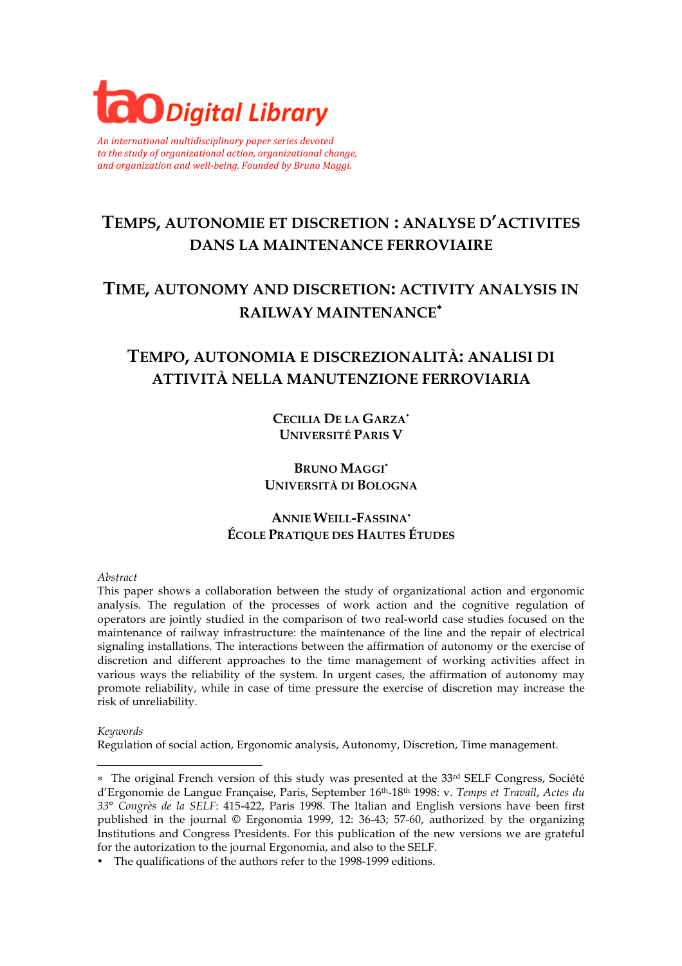

*An international multidisciplinary paper series devoted* to the study of organizational action, organizational change, and organization and well-being. Founded by Bruno Maggi.

# **TEMPS, AUTONOMIE ET DISCRETION : ANALYSE D'ACTIVITES DANS LA MAINTENANCE FERROVIAIRE**

# **TIME, AUTONOMY AND DISCRETION: ACTIVITY ANALYSIS IN RAILWAY MAINTENANCE**<sup>∗</sup>

# **TEMPO, AUTONOMIA E DISCREZIONALITÀ: ANALISI DI ATTIVITÀ NELLA MANUTENZIONE FERROVIARIA**

**CECILIA DE LA GARZA UNIVERSITÉ PARIS V**

**BRUNO MAGGI UNIVERSITÀ DI BOLOGNA**

### **ANNIE WEILL-FASSINA ÉCOLE PRATIQUE DES HAUTES ÉTUDES**

#### *Abstract*

This paper shows a collaboration between the study of organizational action and ergonomic analysis. The regulation of the processes of work action and the cognitive regulation of operators are jointly studied in the comparison of two real-world case studies focused on the maintenance of railway infrastructure: the maintenance of the line and the repair of electrical signaling installations. The interactions between the affirmation of autonomy or the exercise of discretion and different approaches to the time management of working activities affect in various ways the reliability of the system. In urgent cases, the affirmation of autonomy may promote reliability, while in case of time pressure the exercise of discretion may increase the risk of unreliability.

*Keywords*

l

Regulation of social action, Ergonomic analysis, Autonomy, Discretion, Time management.

<sup>∗</sup> The original French version of this study was presented at the 33rd SELF Congress, Société d'Ergonomie de Langue Française, Paris, September 16th-18th 1998: v. *Temps et Travail*, *Actes du 33° Congrès de la SELF*: 415-422, Paris 1998. The Italian and English versions have been first published in the journal © Ergonomia 1999, 12: 36-43; 57-60, authorized by the organizing Institutions and Congress Presidents. For this publication of the new versions we are grateful for the autorization to the journal Ergonomia, and also to the SELF.

The qualifications of the authors refer to the 1998-1999 editions.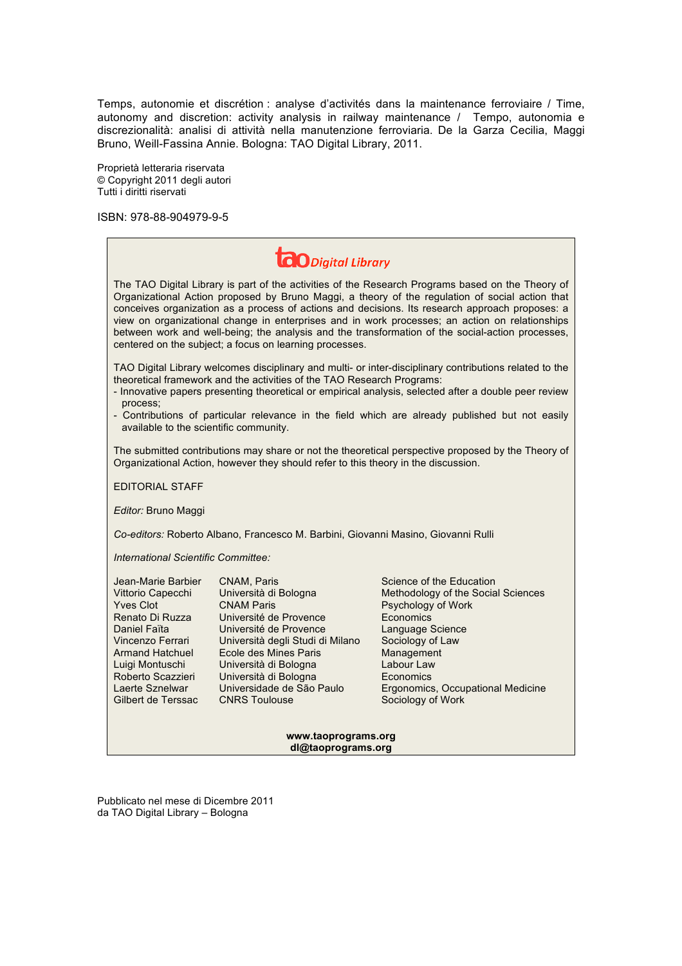Temps, autonomie et discrétion : analyse d'activités dans la maintenance ferroviaire / Time, autonomy and discretion: activity analysis in railway maintenance / Tempo, autonomia e discrezionalità: analisi di attività nella manutenzione ferroviaria. De la Garza Cecilia, Maggi Bruno, Weill-Fassina Annie. Bologna: TAO Digital Library, 2011.

Proprietà letteraria riservata © Copyright 2011 degli autori Tutti i diritti riservati

ISBN: 978-88-904979-9-5

**www.taoprograms.org dl@taoprograms.org** 

Pubblicato nel mese di Dicembre 2011 da TAO Digital Library – Bologna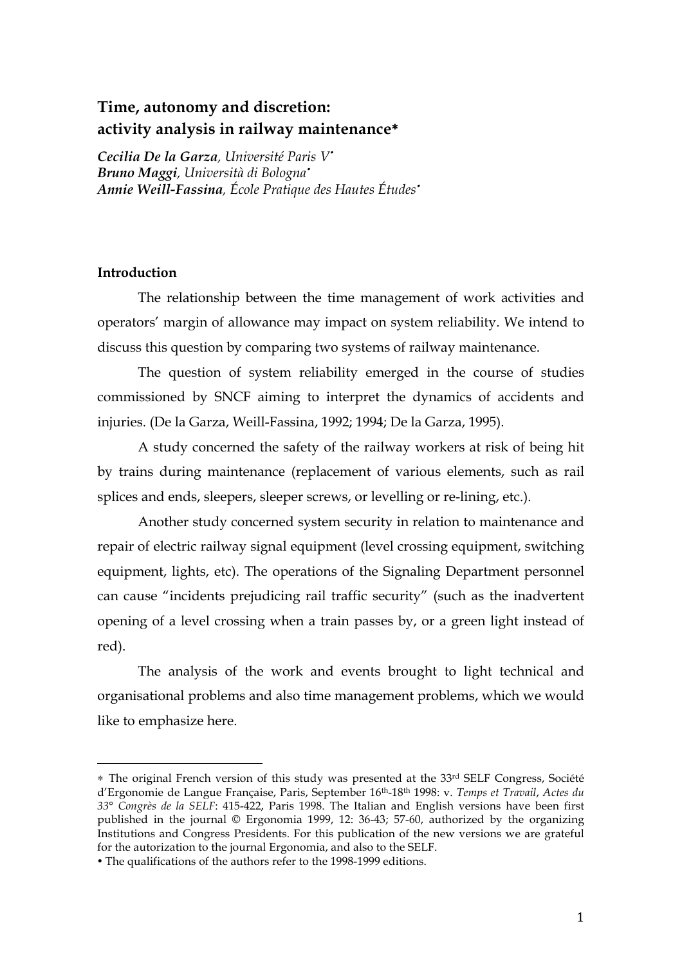### **Time, autonomy and discretion: activity analysis in railway maintenance**∗

*Cecilia De la Garza, Université Paris V Bruno Maggi, Università di Bologna Annie Weill-Fassina, École Pratique des Hautes Études*

### **Introduction**

The relationship between the time management of work activities and operators' margin of allowance may impact on system reliability. We intend to discuss this question by comparing two systems of railway maintenance.

The question of system reliability emerged in the course of studies commissioned by SNCF aiming to interpret the dynamics of accidents and injuries. (De la Garza, Weill-Fassina, 1992; 1994; De la Garza, 1995).

A study concerned the safety of the railway workers at risk of being hit by trains during maintenance (replacement of various elements, such as rail splices and ends, sleepers, sleeper screws, or levelling or re-lining, etc.).

Another study concerned system security in relation to maintenance and repair of electric railway signal equipment (level crossing equipment, switching equipment, lights, etc). The operations of the Signaling Department personnel can cause "incidents prejudicing rail traffic security" (such as the inadvertent opening of a level crossing when a train passes by, or a green light instead of red).

The analysis of the work and events brought to light technical and organisational problems and also time management problems, which we would like to emphasize here.

!!!!!!!!!!!!!!!!!!!!!!!!!!!!!!!!!!!!!!!!!!!!!!!!!!!!!!!

<sup>∗</sup> The original French version of this study was presented at the 33rd SELF Congress, Société d'Ergonomie de Langue Française, Paris, September 16th-18th 1998: v. *Temps et Travail*, *Actes du 33° Congrès de la SELF*: 415-422, Paris 1998. The Italian and English versions have been first published in the journal © Ergonomia 1999, 12: 36-43; 57-60, authorized by the organizing Institutions and Congress Presidents. For this publication of the new versions we are grateful for the autorization to the journal Ergonomia, and also to the SELF.

The qualifications of the authors refer to the 1998-1999 editions.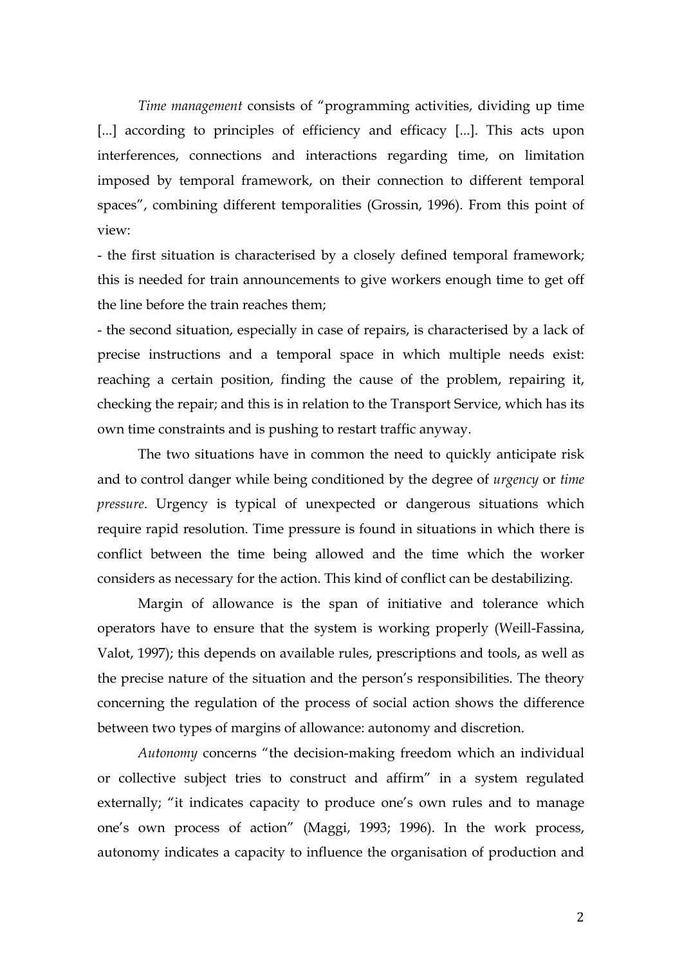*Time management* consists of "programming activities, dividing up time [...] according to principles of efficiency and efficacy [...]. This acts upon interferences, connections and interactions regarding time, on limitation imposed by temporal framework, on their connection to different temporal spaces", combining different temporalities (Grossin, 1996). From this point of view:

- the first situation is characterised by a closely defined temporal framework; this is needed for train announcements to give workers enough time to get off the line before the train reaches them;

- the second situation, especially in case of repairs, is characterised by a lack of precise instructions and a temporal space in which multiple needs exist: reaching a certain position, finding the cause of the problem, repairing it, checking the repair; and this is in relation to the Transport Service, which has its own time constraints and is pushing to restart traffic anyway.

The two situations have in common the need to quickly anticipate risk and to control danger while being conditioned by the degree of *urgency* or *time pressure*. Urgency is typical of unexpected or dangerous situations which require rapid resolution. Time pressure is found in situations in which there is conflict between the time being allowed and the time which the worker considers as necessary for the action. This kind of conflict can be destabilizing.

Margin of allowance is the span of initiative and tolerance which operators have to ensure that the system is working properly (Weill-Fassina, Valot, 1997); this depends on available rules, prescriptions and tools, as well as the precise nature of the situation and the person's responsibilities. The theory concerning the regulation of the process of social action shows the difference between two types of margins of allowance: autonomy and discretion.

*Autonomy* concerns "the decision-making freedom which an individual or collective subject tries to construct and affirm" in a system regulated externally; "it indicates capacity to produce one's own rules and to manage one's own process of action" (Maggi, 1993; 1996). In the work process, autonomy indicates a capacity to influence the organisation of production and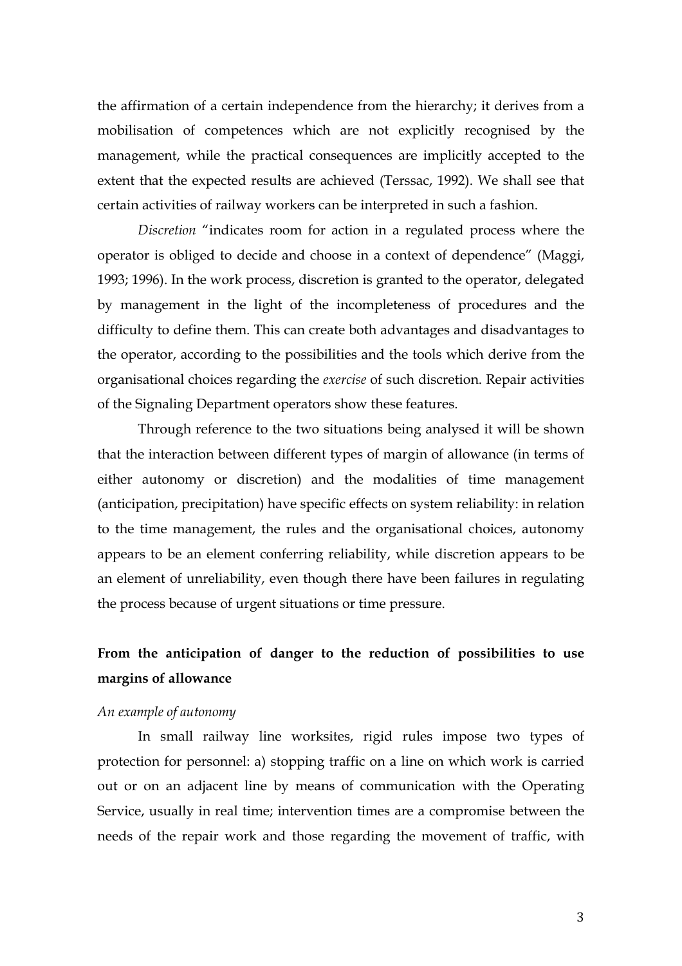the affirmation of a certain independence from the hierarchy; it derives from a mobilisation of competences which are not explicitly recognised by the management, while the practical consequences are implicitly accepted to the extent that the expected results are achieved (Terssac, 1992). We shall see that certain activities of railway workers can be interpreted in such a fashion.

*Discretion* "indicates room for action in a regulated process where the operator is obliged to decide and choose in a context of dependence" (Maggi, 1993; 1996). In the work process, discretion is granted to the operator, delegated by management in the light of the incompleteness of procedures and the difficulty to define them. This can create both advantages and disadvantages to the operator, according to the possibilities and the tools which derive from the organisational choices regarding the *exercise* of such discretion. Repair activities of the Signaling Department operators show these features.

Through reference to the two situations being analysed it will be shown that the interaction between different types of margin of allowance (in terms of either autonomy or discretion) and the modalities of time management (anticipation, precipitation) have specific effects on system reliability: in relation to the time management, the rules and the organisational choices, autonomy appears to be an element conferring reliability, while discretion appears to be an element of unreliability, even though there have been failures in regulating the process because of urgent situations or time pressure.

## **From the anticipation of danger to the reduction of possibilities to use margins of allowance**

#### *An example of autonomy*

In small railway line worksites, rigid rules impose two types of protection for personnel: a) stopping traffic on a line on which work is carried out or on an adjacent line by means of communication with the Operating Service, usually in real time; intervention times are a compromise between the needs of the repair work and those regarding the movement of traffic, with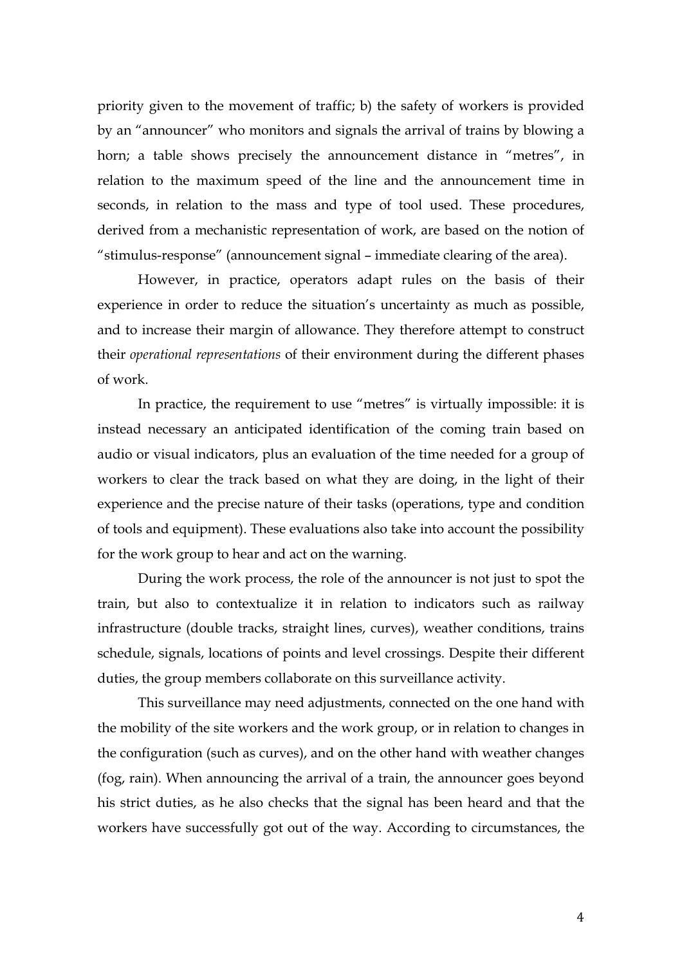priority given to the movement of traffic; b) the safety of workers is provided by an "announcer" who monitors and signals the arrival of trains by blowing a horn; a table shows precisely the announcement distance in "metres", in relation to the maximum speed of the line and the announcement time in seconds, in relation to the mass and type of tool used. These procedures, derived from a mechanistic representation of work, are based on the notion of "stimulus-response" (announcement signal – immediate clearing of the area).

However, in practice, operators adapt rules on the basis of their experience in order to reduce the situation's uncertainty as much as possible, and to increase their margin of allowance. They therefore attempt to construct their *operational representations* of their environment during the different phases of work.

In practice, the requirement to use "metres" is virtually impossible: it is instead necessary an anticipated identification of the coming train based on audio or visual indicators, plus an evaluation of the time needed for a group of workers to clear the track based on what they are doing, in the light of their experience and the precise nature of their tasks (operations, type and condition of tools and equipment). These evaluations also take into account the possibility for the work group to hear and act on the warning.

During the work process, the role of the announcer is not just to spot the train, but also to contextualize it in relation to indicators such as railway infrastructure (double tracks, straight lines, curves), weather conditions, trains schedule, signals, locations of points and level crossings. Despite their different duties, the group members collaborate on this surveillance activity.

This surveillance may need adjustments, connected on the one hand with the mobility of the site workers and the work group, or in relation to changes in the configuration (such as curves), and on the other hand with weather changes (fog, rain). When announcing the arrival of a train, the announcer goes beyond his strict duties, as he also checks that the signal has been heard and that the workers have successfully got out of the way. According to circumstances, the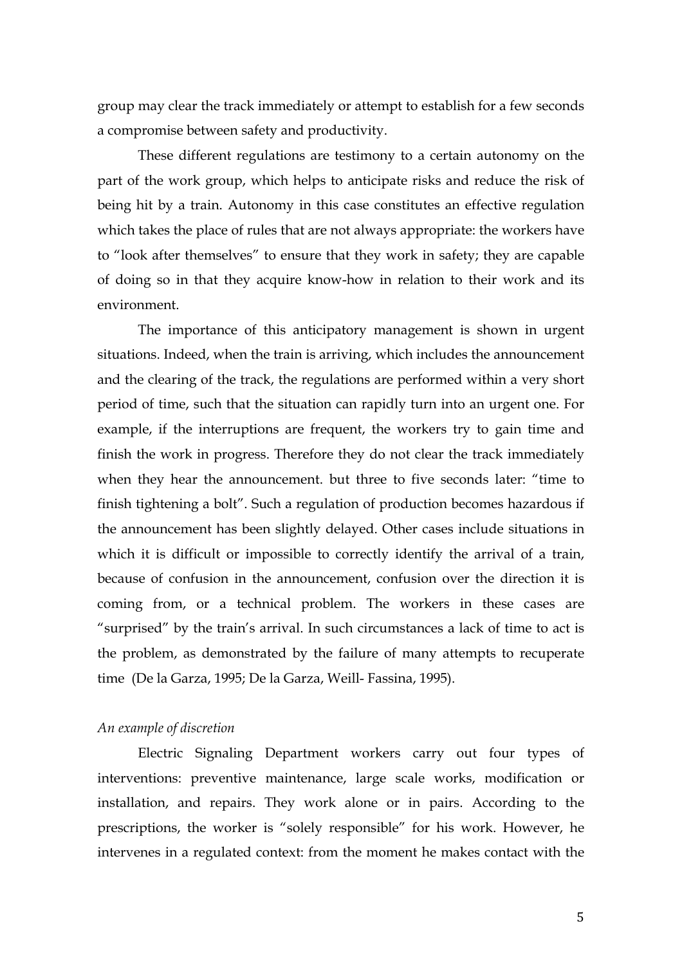group may clear the track immediately or attempt to establish for a few seconds a compromise between safety and productivity.

These different regulations are testimony to a certain autonomy on the part of the work group, which helps to anticipate risks and reduce the risk of being hit by a train. Autonomy in this case constitutes an effective regulation which takes the place of rules that are not always appropriate: the workers have to "look after themselves" to ensure that they work in safety; they are capable of doing so in that they acquire know-how in relation to their work and its environment.

The importance of this anticipatory management is shown in urgent situations. Indeed, when the train is arriving, which includes the announcement and the clearing of the track, the regulations are performed within a very short period of time, such that the situation can rapidly turn into an urgent one. For example, if the interruptions are frequent, the workers try to gain time and finish the work in progress. Therefore they do not clear the track immediately when they hear the announcement. but three to five seconds later: "time to finish tightening a bolt". Such a regulation of production becomes hazardous if the announcement has been slightly delayed. Other cases include situations in which it is difficult or impossible to correctly identify the arrival of a train, because of confusion in the announcement, confusion over the direction it is coming from, or a technical problem. The workers in these cases are "surprised" by the train's arrival. In such circumstances a lack of time to act is the problem, as demonstrated by the failure of many attempts to recuperate time (De la Garza, 1995; De la Garza, Weill- Fassina, 1995).

#### *An example of discretion*

Electric Signaling Department workers carry out four types of interventions: preventive maintenance, large scale works, modification or installation, and repairs. They work alone or in pairs. According to the prescriptions, the worker is "solely responsible" for his work. However, he intervenes in a regulated context: from the moment he makes contact with the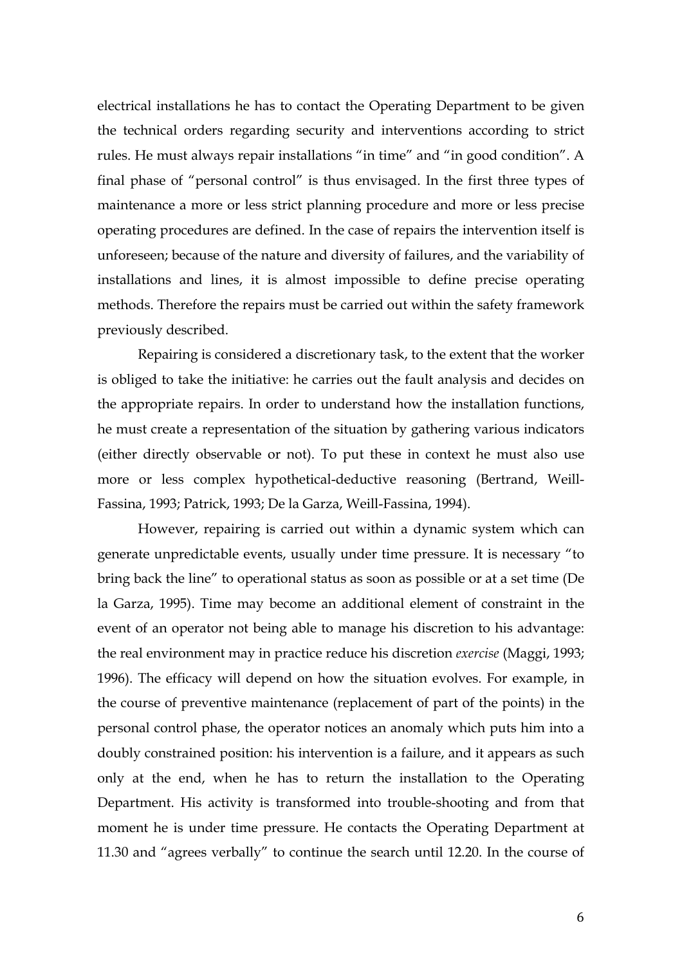electrical installations he has to contact the Operating Department to be given the technical orders regarding security and interventions according to strict rules. He must always repair installations "in time" and "in good condition". A final phase of "personal control" is thus envisaged. In the first three types of maintenance a more or less strict planning procedure and more or less precise operating procedures are defined. In the case of repairs the intervention itself is unforeseen; because of the nature and diversity of failures, and the variability of installations and lines, it is almost impossible to define precise operating methods. Therefore the repairs must be carried out within the safety framework previously described.

Repairing is considered a discretionary task, to the extent that the worker is obliged to take the initiative: he carries out the fault analysis and decides on the appropriate repairs. In order to understand how the installation functions, he must create a representation of the situation by gathering various indicators (either directly observable or not). To put these in context he must also use more or less complex hypothetical-deductive reasoning (Bertrand, Weill-Fassina, 1993; Patrick, 1993; De la Garza, Weill-Fassina, 1994).

However, repairing is carried out within a dynamic system which can generate unpredictable events, usually under time pressure. It is necessary "to bring back the line" to operational status as soon as possible or at a set time (De la Garza, 1995). Time may become an additional element of constraint in the event of an operator not being able to manage his discretion to his advantage: the real environment may in practice reduce his discretion *exercise* (Maggi, 1993; 1996). The efficacy will depend on how the situation evolves. For example, in the course of preventive maintenance (replacement of part of the points) in the personal control phase, the operator notices an anomaly which puts him into a doubly constrained position: his intervention is a failure, and it appears as such only at the end, when he has to return the installation to the Operating Department. His activity is transformed into trouble-shooting and from that moment he is under time pressure. He contacts the Operating Department at 11.30 and "agrees verbally" to continue the search until 12.20. In the course of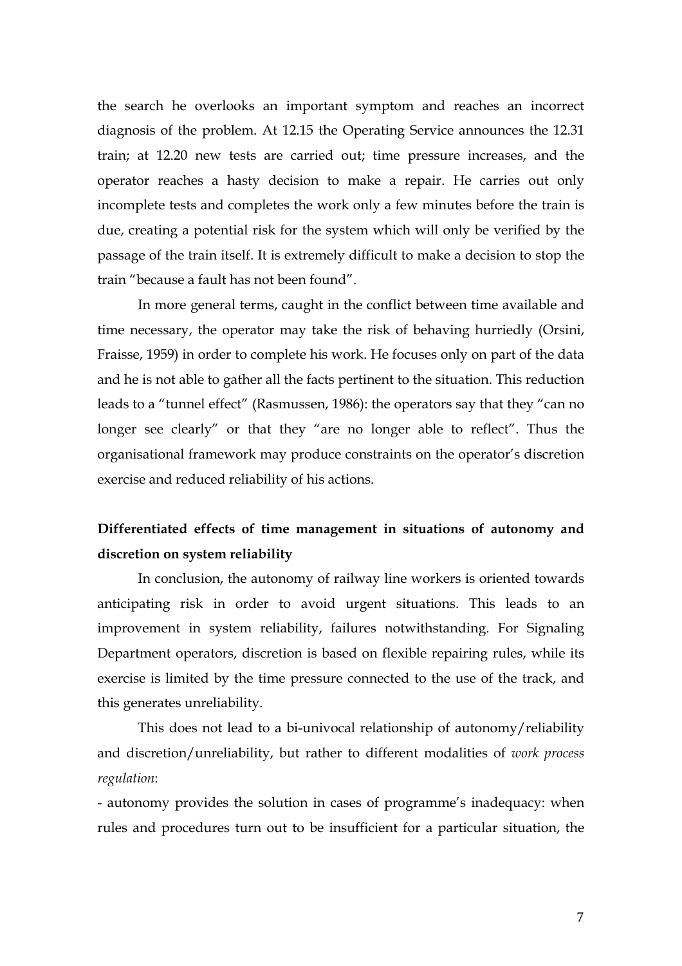the search he overlooks an important symptom and reaches an incorrect diagnosis of the problem. At 12.15 the Operating Service announces the 12.31 train; at 12.20 new tests are carried out; time pressure increases, and the operator reaches a hasty decision to make a repair. He carries out only incomplete tests and completes the work only a few minutes before the train is due, creating a potential risk for the system which will only be verified by the passage of the train itself. It is extremely difficult to make a decision to stop the train "because a fault has not been found".

In more general terms, caught in the conflict between time available and time necessary, the operator may take the risk of behaving hurriedly (Orsini, Fraisse, 1959) in order to complete his work. He focuses only on part of the data and he is not able to gather all the facts pertinent to the situation. This reduction leads to a "tunnel effect" (Rasmussen, 1986): the operators say that they "can no longer see clearly" or that they "are no longer able to reflect". Thus the organisational framework may produce constraints on the operator's discretion exercise and reduced reliability of his actions.

### **Differentiated effects of time management in situations of autonomy and discretion on system reliability**

In conclusion, the autonomy of railway line workers is oriented towards anticipating risk in order to avoid urgent situations. This leads to an improvement in system reliability, failures notwithstanding. For Signaling Department operators, discretion is based on flexible repairing rules, while its exercise is limited by the time pressure connected to the use of the track, and this generates unreliability.

This does not lead to a bi-univocal relationship of autonomy/reliability and discretion/unreliability, but rather to different modalities of *work process regulation*:

- autonomy provides the solution in cases of programme's inadequacy: when rules and procedures turn out to be insufficient for a particular situation, the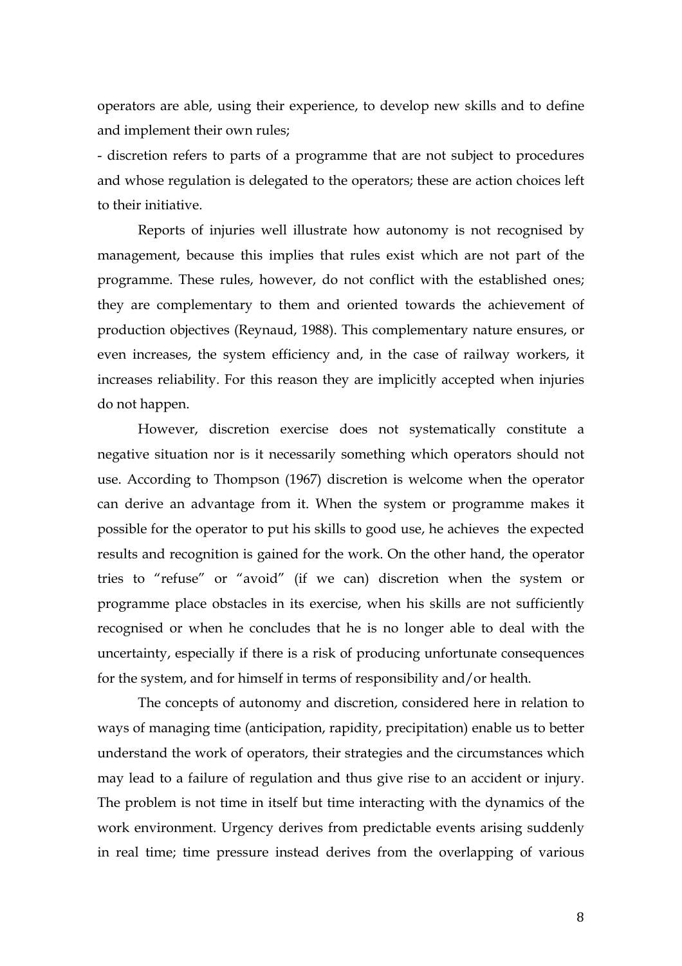operators are able, using their experience, to develop new skills and to define and implement their own rules;

- discretion refers to parts of a programme that are not subject to procedures and whose regulation is delegated to the operators; these are action choices left to their initiative.

Reports of injuries well illustrate how autonomy is not recognised by management, because this implies that rules exist which are not part of the programme. These rules, however, do not conflict with the established ones; they are complementary to them and oriented towards the achievement of production objectives (Reynaud, 1988). This complementary nature ensures, or even increases, the system efficiency and, in the case of railway workers, it increases reliability. For this reason they are implicitly accepted when injuries do not happen.

However, discretion exercise does not systematically constitute a negative situation nor is it necessarily something which operators should not use. According to Thompson (1967) discretion is welcome when the operator can derive an advantage from it. When the system or programme makes it possible for the operator to put his skills to good use, he achieves the expected results and recognition is gained for the work. On the other hand, the operator tries to "refuse" or "avoid" (if we can) discretion when the system or programme place obstacles in its exercise, when his skills are not sufficiently recognised or when he concludes that he is no longer able to deal with the uncertainty, especially if there is a risk of producing unfortunate consequences for the system, and for himself in terms of responsibility and/or health.

The concepts of autonomy and discretion, considered here in relation to ways of managing time (anticipation, rapidity, precipitation) enable us to better understand the work of operators, their strategies and the circumstances which may lead to a failure of regulation and thus give rise to an accident or injury. The problem is not time in itself but time interacting with the dynamics of the work environment. Urgency derives from predictable events arising suddenly in real time; time pressure instead derives from the overlapping of various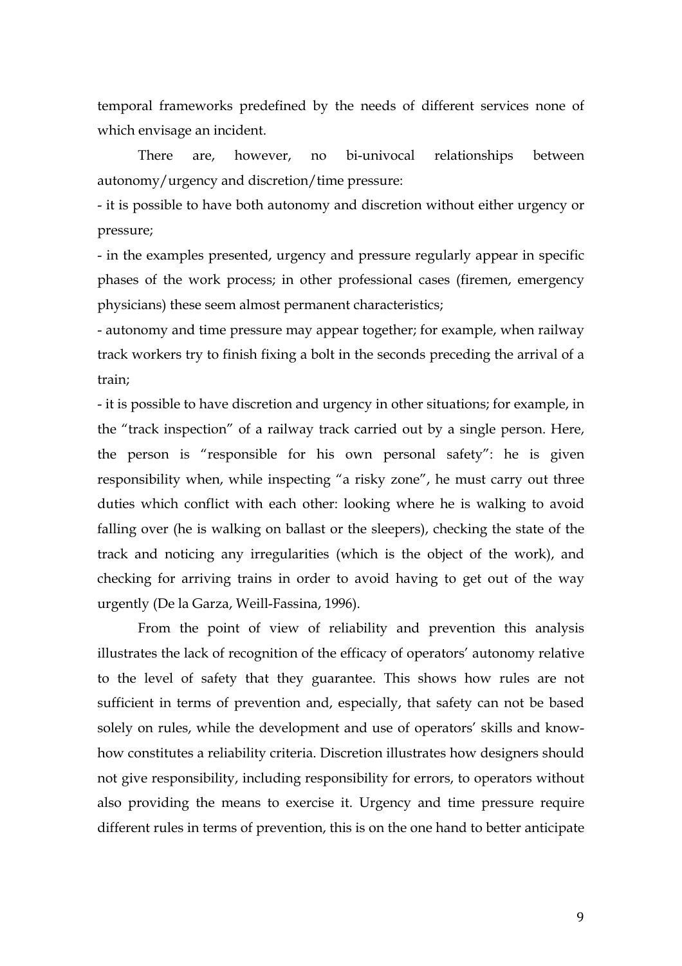temporal frameworks predefined by the needs of different services none of which envisage an incident.

There are, however, no bi-univocal relationships between autonomy/urgency and discretion/time pressure:

- it is possible to have both autonomy and discretion without either urgency or pressure;

- in the examples presented, urgency and pressure regularly appear in specific phases of the work process; in other professional cases (firemen, emergency physicians) these seem almost permanent characteristics;

- autonomy and time pressure may appear together; for example, when railway track workers try to finish fixing a bolt in the seconds preceding the arrival of a train;

- it is possible to have discretion and urgency in other situations; for example, in the "track inspection" of a railway track carried out by a single person. Here, the person is "responsible for his own personal safety": he is given responsibility when, while inspecting "a risky zone", he must carry out three duties which conflict with each other: looking where he is walking to avoid falling over (he is walking on ballast or the sleepers), checking the state of the track and noticing any irregularities (which is the object of the work), and checking for arriving trains in order to avoid having to get out of the way urgently (De la Garza, Weill-Fassina, 1996).

From the point of view of reliability and prevention this analysis illustrates the lack of recognition of the efficacy of operators' autonomy relative to the level of safety that they guarantee. This shows how rules are not sufficient in terms of prevention and, especially, that safety can not be based solely on rules, while the development and use of operators' skills and knowhow constitutes a reliability criteria. Discretion illustrates how designers should not give responsibility, including responsibility for errors, to operators without also providing the means to exercise it. Urgency and time pressure require different rules in terms of prevention, this is on the one hand to better anticipate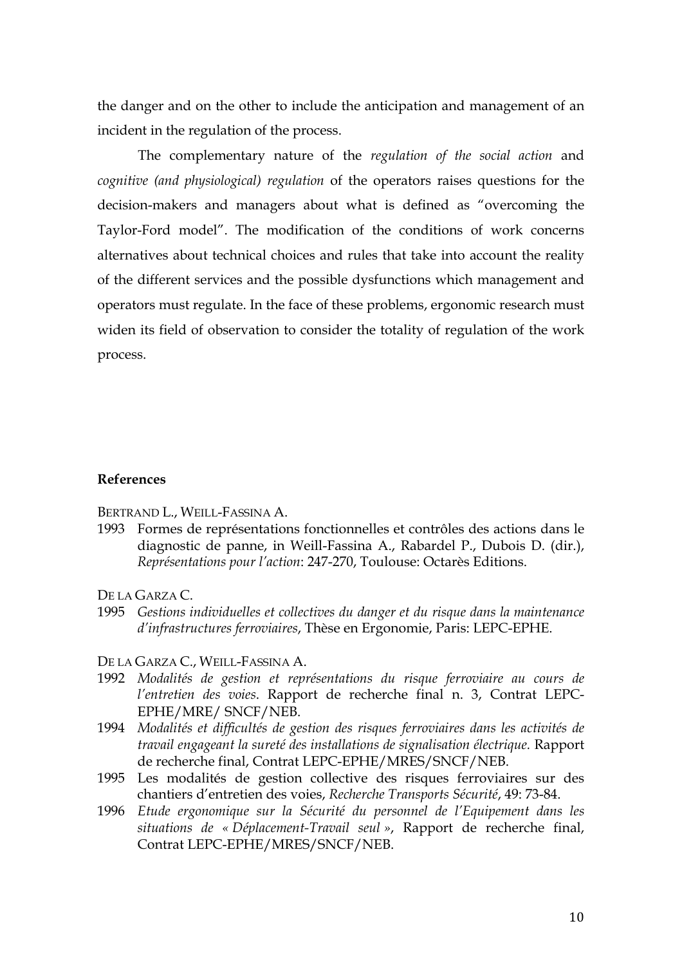the danger and on the other to include the anticipation and management of an incident in the regulation of the process.

The complementary nature of the *regulation of the social action* and *cognitive (and physiological) regulation* of the operators raises questions for the decision-makers and managers about what is defined as "overcoming the Taylor-Ford model". The modification of the conditions of work concerns alternatives about technical choices and rules that take into account the reality of the different services and the possible dysfunctions which management and operators must regulate. In the face of these problems, ergonomic research must widen its field of observation to consider the totality of regulation of the work process.

#### **References**

BERTRAND L., WEILL-FASSINA A.

1993 Formes de représentations fonctionnelles et contrôles des actions dans le diagnostic de panne, in Weill-Fassina A., Rabardel P., Dubois D. (dir.), *Représentations pour l'action*: 247-270, Toulouse: Octarès Editions.

DE LA GARZA C.

- 1995 *Gestions individuelles et collectives du danger et du risque dans la maintenance d'infrastructures ferroviaires*, Thèse en Ergonomie, Paris: LEPC-EPHE.
- DE LA GARZA C., WEILL-FASSINA A.
- 1992 *Modalités de gestion et représentations du risque ferroviaire au cours de l'entretien des voies*. Rapport de recherche final n. 3, Contrat LEPC-EPHE/MRE/ SNCF/NEB.
- 1994 *Modalités et difficultés de gestion des risques ferroviaires dans les activités de travail engageant la sureté des installations de signalisation électrique.* Rapport de recherche final, Contrat LEPC-EPHE/MRES/SNCF/NEB.
- 1995 Les modalités de gestion collective des risques ferroviaires sur des chantiers d'entretien des voies, *Recherche Transports Sécurité*, 49: 73-84.
- 1996 *Etude ergonomique sur la Sécurité du personnel de l'Equipement dans les situations de « Déplacement-Travail seul »*, Rapport de recherche final, Contrat LEPC-EPHE/MRES/SNCF/NEB.